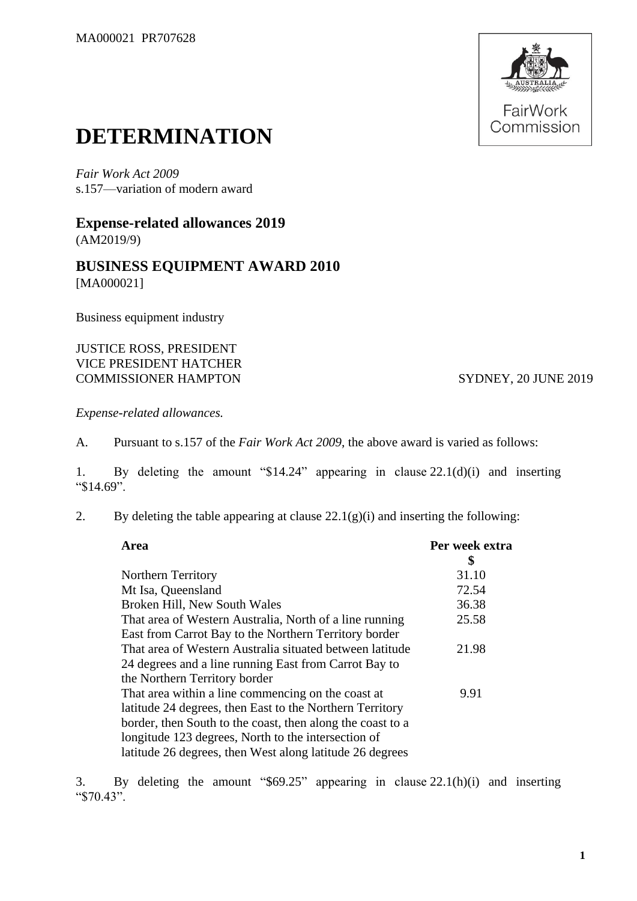

## **DETERMINATION**

*Fair Work Act 2009*  s.157—variation of modern award

**Expense-related allowances 2019** (AM2019/9)

## **BUSINESS EQUIPMENT AWARD 2010** [MA000021]

Business equipment industry

## JUSTICE ROSS, PRESIDENT VICE PRESIDENT HATCHER COMMISSIONER HAMPTON SYDNEY, 20 JUNE 2019

*Expense-related allowances.*

A. Pursuant to s.157 of the *Fair Work Act 2009*, the above award is varied as follows:

1. By deleting the amount "\$14.24" appearing in clause 22.1(d)(i) and inserting "\$14.69".

2. By deleting the table appearing at clause  $22.1(g)(i)$  and inserting the following:

| Area                                                       | Per week extra |
|------------------------------------------------------------|----------------|
|                                                            | \$             |
| Northern Territory                                         | 31.10          |
| Mt Isa, Queensland                                         | 72.54          |
| Broken Hill, New South Wales                               | 36.38          |
| That area of Western Australia, North of a line running    | 25.58          |
| East from Carrot Bay to the Northern Territory border      |                |
| That area of Western Australia situated between latitude   | 21.98          |
| 24 degrees and a line running East from Carrot Bay to      |                |
| the Northern Territory border                              |                |
| That area within a line commencing on the coast at         | 9.91           |
| latitude 24 degrees, then East to the Northern Territory   |                |
| border, then South to the coast, then along the coast to a |                |
| longitude 123 degrees, North to the intersection of        |                |
| latitude 26 degrees, then West along latitude 26 degrees   |                |
|                                                            |                |

3. By deleting the amount "\$69.25" appearing in clause 22.1(h)(i) and inserting "\$70.43".